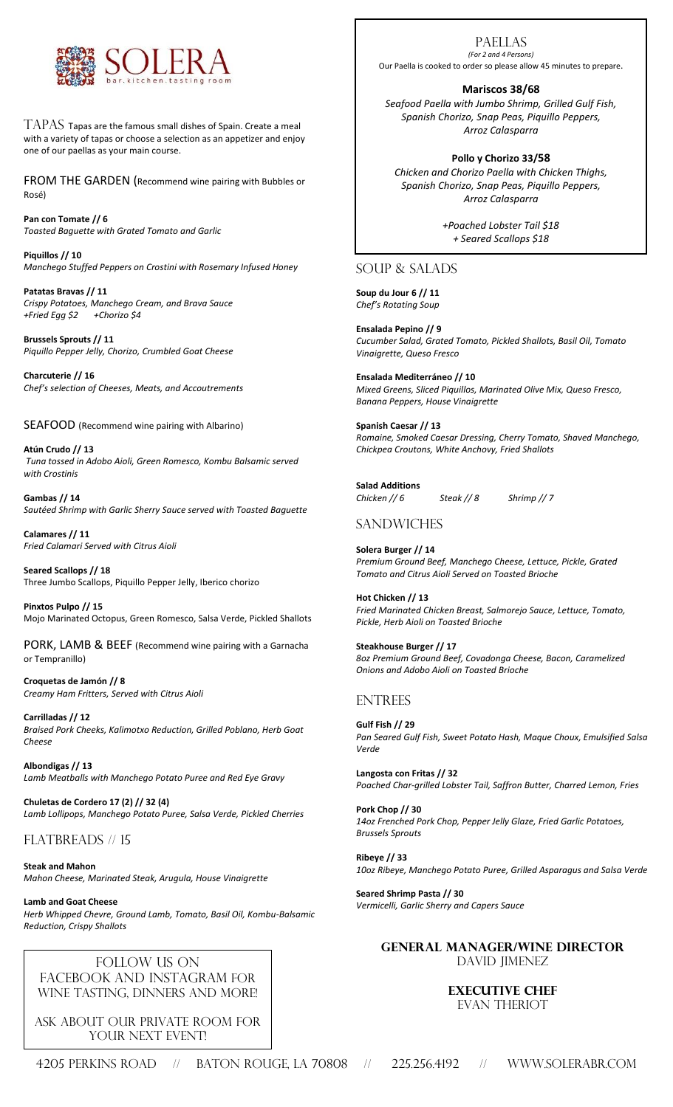

TAPAS Tapas are the famous small dishes of Spain. Create a meal with a variety of tapas or choose a selection as an appetizer and enjoy one of our paellas as your main course.

FROM THE GARDEN (Recommend wine pairing with Bubbles or Rosé)

**Pan con Tomate // 6** *Toasted Baguette with Grated Tomato and Garlic*

**Piquillos // 10**  *Manchego Stuffed Peppers on Crostini with Rosemary Infused Honey*

**Patatas Bravas // 11** *Crispy Potatoes, Manchego Cream, and Brava Sauce +Fried Egg \$2 +Chorizo \$4*

**Brussels Sprouts // 11** *Piquillo Pepper Jelly, Chorizo, Crumbled Goat Cheese* 

**Charcuterie // 16** *Chef's selection of Cheeses, Meats, and Accoutrements*

SEAFOOD (Recommend wine pairing with Albarino)

**Atún Crudo // 13** *Tuna tossed in Adobo Aioli, Green Romesco, Kombu Balsamic served with Crostinis*

**Gambas // 14** *Sautéed Shrimp with Garlic Sherry Sauce served with Toasted Baguette*

**Calamares // 11** *Fried Calamari Served with Citrus Aioli*

**Seared Scallops // 18** Three Jumbo Scallops, Piquillo Pepper Jelly, Iberico chorizo

**Pinxtos Pulpo // 15** Mojo Marinated Octopus, Green Romesco, Salsa Verde, Pickled Shallots

PORK, LAMB & BEEF (Recommend wine pairing with a Garnacha or Tempranillo)

**Croquetas de Jamón // 8** *Creamy Ham Fritters, Served with Citrus Aioli*

**Carrilladas // 12** *Braised Pork Cheeks, Kalimotxo Reduction, Grilled Poblano, Herb Goat Cheese*

**Albondigas // 13** *Lamb Meatballs with Manchego Potato Puree and Red Eye Gravy*

**Chuletas de Cordero 17 (2) // 32 (4)** *Lamb Lollipops, Manchego Potato Puree, Salsa Verde, Pickled Cherries*

FLATBREADS // 15

**Steak and Mahon** *Mahon Cheese, Marinated Steak, Arugula, House Vinaigrette*

**Lamb and Goat Cheese** *Herb Whipped Chevre, Ground Lamb, Tomato, Basil Oil, Kombu-Balsamic Reduction, Crispy Shallots* 

Follow us on FACEBOOK AND INSTAGRAM FOR wine tasting, dinners and more!

Ask about our private room for YOUR NEXT EVENT!

Paellas *(For 2 and 4 Persons)*

Our Paella is cooked to order so please allow 45 minutes to prepare.

**Mariscos 38/68**

*Seafood Paella with Jumbo Shrimp, Grilled Gulf Fish, Spanish Chorizo, Snap Peas, Piquillo Peppers, Arroz Calasparra*

**Pollo y Chorizo 33/58** *Chicken and Chorizo Paella with Chicken Thighs, Spanish Chorizo, Snap Peas, Piquillo Peppers, Arroz Calasparra*

> *+Poached Lobster Tail \$18 + Seared Scallops \$18*

SOUP & SALADS

**Soup du Jour 6 // 11** *Chef's Rotating Soup* 

**Ensalada Pepino // 9** *Cucumber Salad, Grated Tomato, Pickled Shallots, Basil Oil, Tomato Vinaigrette, Queso Fresco*

**Ensalada Mediterráneo // 10** *Mixed Greens, Sliced Piquillos, Marinated Olive Mix, Queso Fresco, Banana Peppers, House Vinaigrette*

**Spanish Caesar // 13** *Romaine, Smoked Caesar Dressing, Cherry Tomato, Shaved Manchego, Chickpea Croutons, White Anchovy, Fried Shallots*

**Salad Additions** *Chicken // 6 Steak // 8 Shrimp // 7* 

## **SANDWICHES**

**Solera Burger // 14** *Premium Ground Beef, Manchego Cheese, Lettuce, Pickle, Grated Tomato and Citrus Aioli Served on Toasted Brioche*

**Hot Chicken // 13** *Fried Marinated Chicken Breast, Salmorejo Sauce, Lettuce, Tomato, Pickle, Herb Aioli on Toasted Brioche*

**Steakhouse Burger // 17** *8oz Premium Ground Beef, Covadonga Cheese, Bacon, Caramelized Onions and Adobo Aioli on Toasted Brioche*

### ENTREES

**Gulf Fish // 29** *Pan Seared Gulf Fish, Sweet Potato Hash, Maque Choux, Emulsified Salsa Verde*

**Langosta con Fritas // 32** *Poached Char-grilled Lobster Tail, Saffron Butter, Charred Lemon, Fries*

**Pork Chop // 30** *14oz Frenched Pork Chop, Pepper Jelly Glaze, Fried Garlic Potatoes, Brussels Sprouts*

**Ribeye // 33** *10oz Ribeye, Manchego Potato Puree, Grilled Asparagus and Salsa Verde*

**Seared Shrimp Pasta // 30** *Vermicelli, Garlic Sherry and Capers Sauce* 

#### **General Manager/wine director** DAVID JIMENEZ

# **Executive Chef**

Evan Theriot